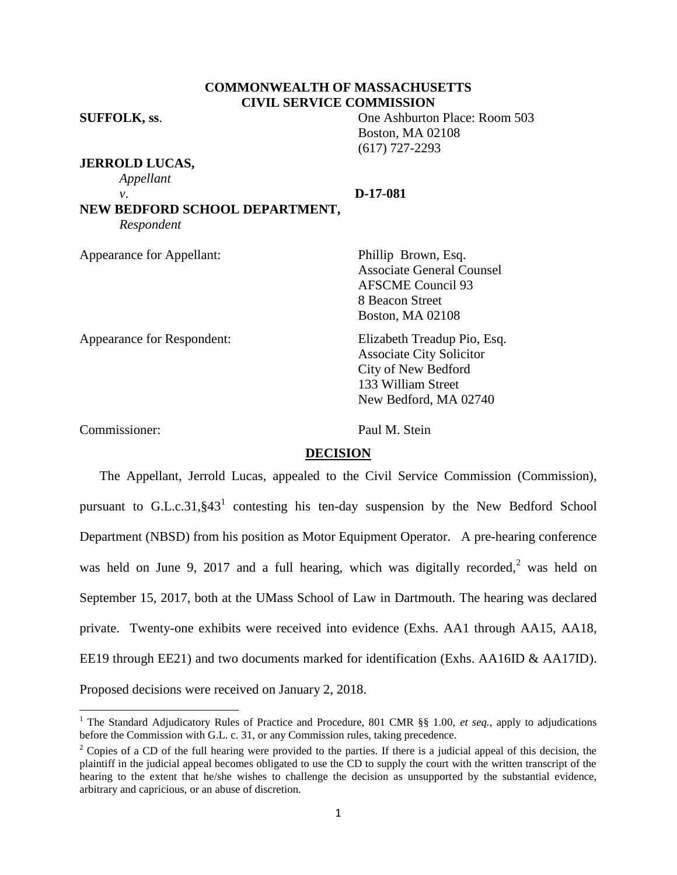# **COMMONWEALTH OF MASSACHUSETTS CIVIL SERVICE COMMISSION**

**SUFFOLK, ss**. One Ashburton Place: Room 503

**JERROLD LUCAS,**

*Appellant*

*v*. **D-17-081**

Boston, MA 02108 (617) 727-2293

**NEW BEDFORD SCHOOL DEPARTMENT,** *Respondent*

Appearance for Appellant: Phillip Brown, Esq.

Associate General Counsel AFSCME Council 93 8 Beacon Street Boston, MA 02108

Appearance for Respondent: Elizabeth Treadup Pio, Esq. Associate City Solicitor City of New Bedford 133 William Street New Bedford, MA 02740

Commissioner: Paul M. Stein

## **DECISION**

The Appellant, Jerrold Lucas, appealed to the Civil Service Commission (Commission), pursuant to G.L.c.31,  $\S 43<sup>1</sup>$  contesting his ten-day suspension by the New Bedford School Department (NBSD) from his position as Motor Equipment Operator. A pre-hearing conference was held on June 9, 2017 and a full hearing, which was digitally recorded,  $2$  was held on September 15, 2017, both at the UMass School of Law in Dartmouth. The hearing was declared private. Twenty-one exhibits were received into evidence (Exhs. AA1 through AA15, AA18, EE19 through EE21) and two documents marked for identification (Exhs. AA16ID & AA17ID). Proposed decisions were received on January 2, 2018.

 $\overline{\phantom{a}}$ <sup>1</sup> The Standard Adjudicatory Rules of Practice and Procedure, 801 CMR §§ 1.00, *et seq.*, apply to adjudications before the Commission with G.L. c. 31, or any Commission rules, taking precedence.

 $2^2$  Copies of a CD of the full hearing were provided to the parties. If there is a judicial appeal of this decision, the plaintiff in the judicial appeal becomes obligated to use the CD to supply the court with the written transcript of the hearing to the extent that he/she wishes to challenge the decision as unsupported by the substantial evidence, arbitrary and capricious, or an abuse of discretion.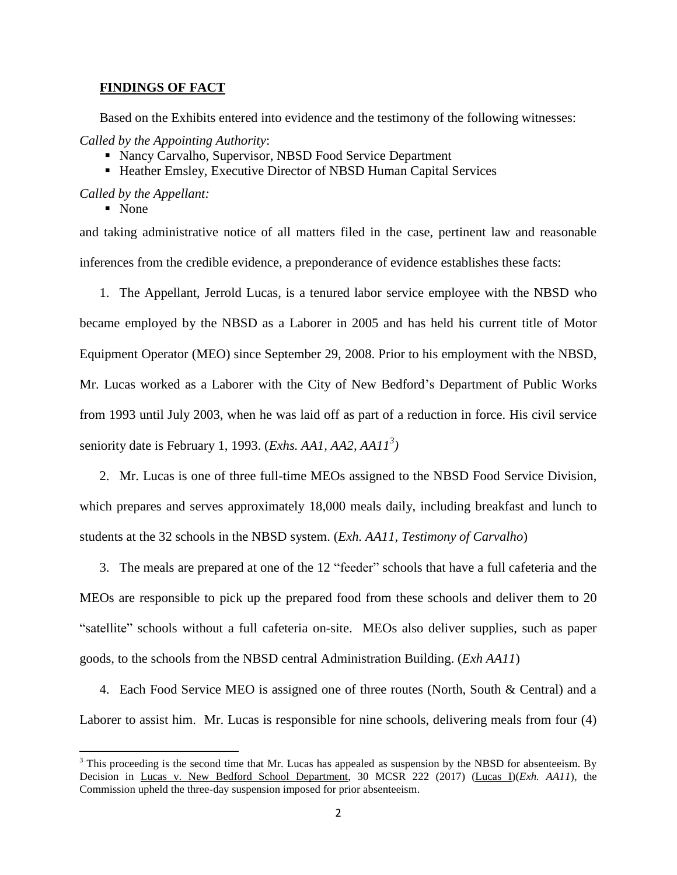## **FINDINGS OF FACT**

Based on the Exhibits entered into evidence and the testimony of the following witnesses:

*Called by the Appointing Authority*:

- Nancy Carvalho, Supervisor, NBSD Food Service Department
- Heather Emsley, Executive Director of NBSD Human Capital Services

*Called by the Appellant:*

■ None

 $\overline{\phantom{a}}$ 

and taking administrative notice of all matters filed in the case, pertinent law and reasonable inferences from the credible evidence, a preponderance of evidence establishes these facts:

1. The Appellant, Jerrold Lucas, is a tenured labor service employee with the NBSD who became employed by the NBSD as a Laborer in 2005 and has held his current title of Motor Equipment Operator (MEO) since September 29, 2008. Prior to his employment with the NBSD, Mr. Lucas worked as a Laborer with the City of New Bedford's Department of Public Works from 1993 until July 2003, when he was laid off as part of a reduction in force. His civil service seniority date is February 1, 1993. (*Exhs. AA1, AA2, AA11 3 )*

2. Mr. Lucas is one of three full-time MEOs assigned to the NBSD Food Service Division, which prepares and serves approximately 18,000 meals daily, including breakfast and lunch to students at the 32 schools in the NBSD system. (*Exh. AA11, Testimony of Carvalho*)

3. The meals are prepared at one of the 12 "feeder" schools that have a full cafeteria and the MEOs are responsible to pick up the prepared food from these schools and deliver them to 20 "satellite" schools without a full cafeteria on-site. MEOs also deliver supplies, such as paper goods, to the schools from the NBSD central Administration Building. (*Exh AA11*)

4. Each Food Service MEO is assigned one of three routes (North, South & Central) and a Laborer to assist him. Mr. Lucas is responsible for nine schools, delivering meals from four (4)

 $3$  This proceeding is the second time that Mr. Lucas has appealed as suspension by the NBSD for absenteeism. By Decision in Lucas v. New Bedford School Department, 30 MCSR 222 (2017) (Lucas I)(*Exh. AA11*), the Commission upheld the three-day suspension imposed for prior absenteeism.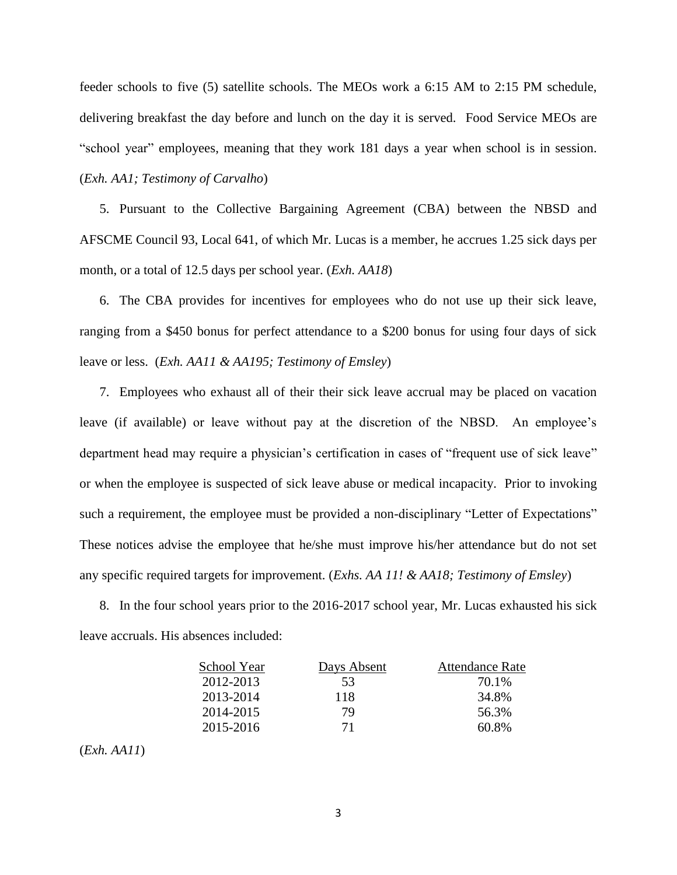feeder schools to five (5) satellite schools. The MEOs work a 6:15 AM to 2:15 PM schedule, delivering breakfast the day before and lunch on the day it is served. Food Service MEOs are "school year" employees, meaning that they work 181 days a year when school is in session. (*Exh. AA1; Testimony of Carvalho*)

5. Pursuant to the Collective Bargaining Agreement (CBA) between the NBSD and AFSCME Council 93, Local 641, of which Mr. Lucas is a member, he accrues 1.25 sick days per month, or a total of 12.5 days per school year. (*Exh. AA18*)

6. The CBA provides for incentives for employees who do not use up their sick leave, ranging from a \$450 bonus for perfect attendance to a \$200 bonus for using four days of sick leave or less. (*Exh. AA11 & AA195; Testimony of Emsley*)

7. Employees who exhaust all of their their sick leave accrual may be placed on vacation leave (if available) or leave without pay at the discretion of the NBSD. An employee's department head may require a physician's certification in cases of "frequent use of sick leave" or when the employee is suspected of sick leave abuse or medical incapacity. Prior to invoking such a requirement, the employee must be provided a non-disciplinary "Letter of Expectations" These notices advise the employee that he/she must improve his/her attendance but do not set any specific required targets for improvement. (*Exhs. AA 11! & AA18; Testimony of Emsley*)

8. In the four school years prior to the 2016-2017 school year, Mr. Lucas exhausted his sick leave accruals. His absences included:

| School Year | Days Absent | <b>Attendance Rate</b> |
|-------------|-------------|------------------------|
| 2012-2013   | 53          | 70.1%                  |
| 2013-2014   | 118         | 34.8%                  |
| 2014-2015   | 79          | 56.3%                  |
| 2015-2016   | 71          | 60.8%                  |

(*Exh. AA11*)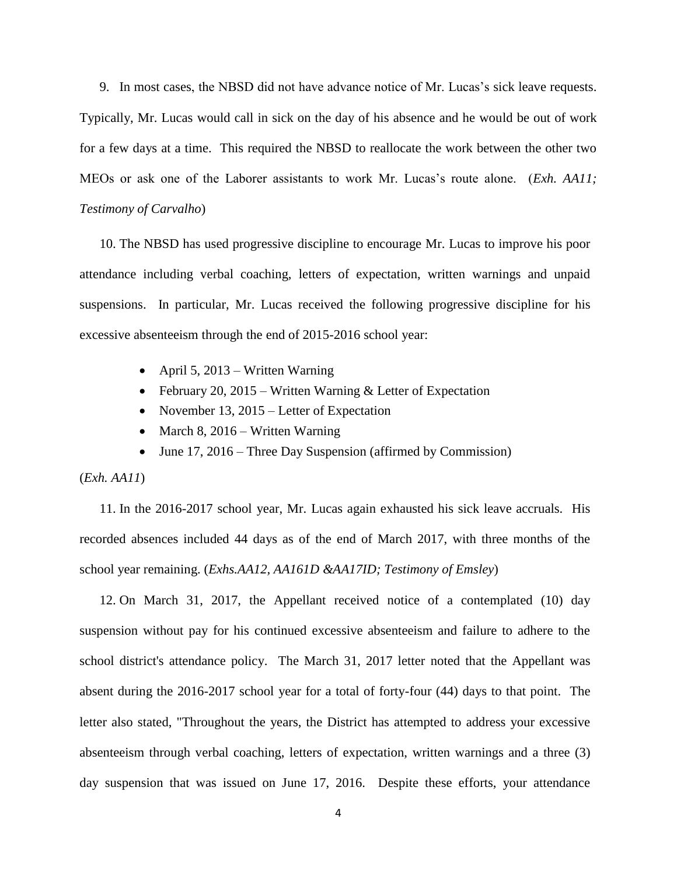9. In most cases, the NBSD did not have advance notice of Mr. Lucas's sick leave requests. Typically, Mr. Lucas would call in sick on the day of his absence and he would be out of work for a few days at a time. This required the NBSD to reallocate the work between the other two MEOs or ask one of the Laborer assistants to work Mr. Lucas's route alone. (*Exh. AA11; Testimony of Carvalho*)

10. The NBSD has used progressive discipline to encourage Mr. Lucas to improve his poor attendance including verbal coaching, letters of expectation, written warnings and unpaid suspensions. In particular, Mr. Lucas received the following progressive discipline for his excessive absenteeism through the end of 2015-2016 school year:

- April 5, 2013 Written Warning
- February 20, 2015 Written Warning  $&$  Letter of Expectation
- November 13, 2015 Letter of Expectation
- March 8, 2016 Written Warning
- June 17, 2016 Three Day Suspension (affirmed by Commission)

(*Exh. AA11*)

11. In the 2016-2017 school year, Mr. Lucas again exhausted his sick leave accruals. His recorded absences included 44 days as of the end of March 2017, with three months of the school year remaining. (*Exhs.AA12, AA161D &AA17ID; Testimony of Emsley*)

12. On March 31, 2017, the Appellant received notice of a contemplated (10) day suspension without pay for his continued excessive absenteeism and failure to adhere to the school district's attendance policy. The March 31, 2017 letter noted that the Appellant was absent during the 2016-2017 school year for a total of forty-four (44) days to that point. The letter also stated, "Throughout the years, the District has attempted to address your excessive absenteeism through verbal coaching, letters of expectation, written warnings and a three (3) day suspension that was issued on June 17, 2016. Despite these efforts, your attendance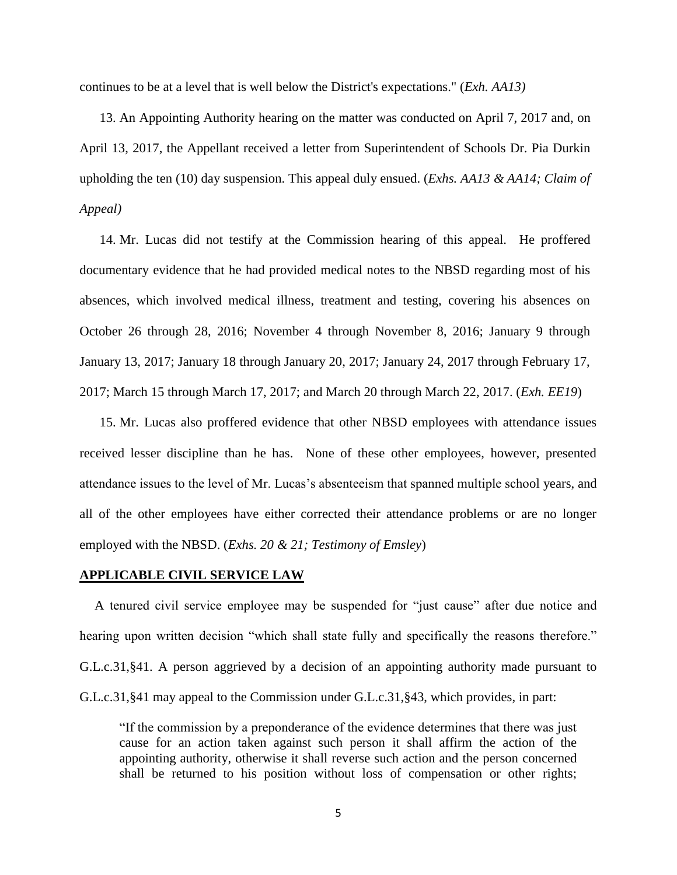continues to be at a level that is well below the District's expectations." (*Exh. AA13)*

13. An Appointing Authority hearing on the matter was conducted on April 7, 2017 and, on April 13, 2017, the Appellant received a letter from Superintendent of Schools Dr. Pia Durkin upholding the ten (10) day suspension. This appeal duly ensued. (*Exhs. AA13 & AA14; Claim of Appeal)*

14. Mr. Lucas did not testify at the Commission hearing of this appeal. He proffered documentary evidence that he had provided medical notes to the NBSD regarding most of his absences, which involved medical illness, treatment and testing, covering his absences on October 26 through 28, 2016; November 4 through November 8, 2016; January 9 through January 13, 2017; January 18 through January 20, 2017; January 24, 2017 through February 17, 2017; March 15 through March 17, 2017; and March 20 through March 22, 2017. (*Exh. EE19*)

15. Mr. Lucas also proffered evidence that other NBSD employees with attendance issues received lesser discipline than he has. None of these other employees, however, presented attendance issues to the level of Mr. Lucas's absenteeism that spanned multiple school years, and all of the other employees have either corrected their attendance problems or are no longer employed with the NBSD. (*Exhs. 20 & 21; Testimony of Emsley*)

#### **APPLICABLE CIVIL SERVICE LAW**

A tenured civil service employee may be suspended for "just cause" after due notice and hearing upon written decision "which shall state fully and specifically the reasons therefore." G.L.c.31,§41. A person aggrieved by a decision of an appointing authority made pursuant to G.L.c.31,§41 may appeal to the Commission under G.L.c.31,§43, which provides, in part:

"If the commission by a preponderance of the evidence determines that there was just cause for an action taken against such person it shall affirm the action of the appointing authority, otherwise it shall reverse such action and the person concerned shall be returned to his position without loss of compensation or other rights;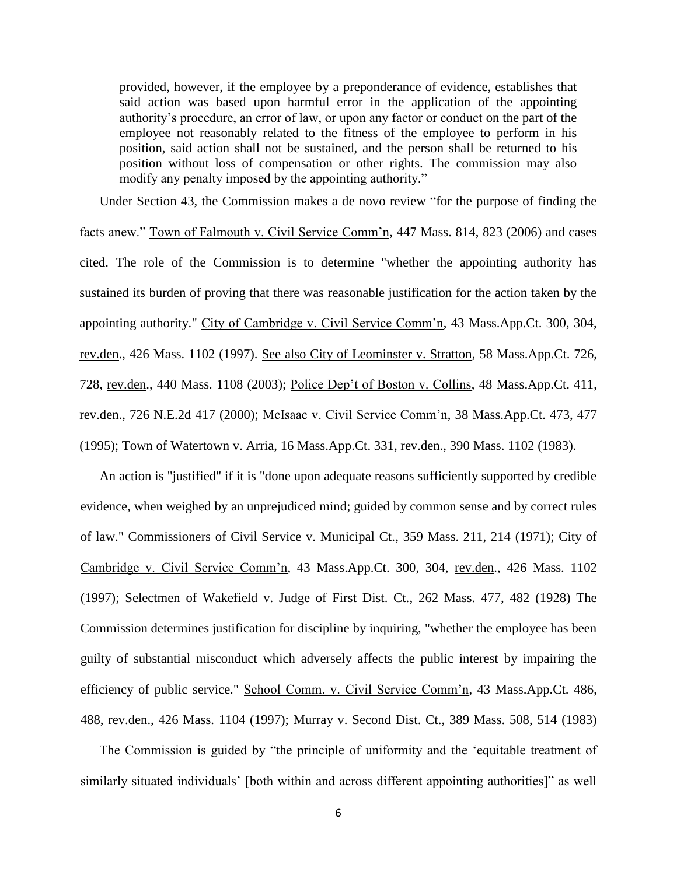provided, however, if the employee by a preponderance of evidence, establishes that said action was based upon harmful error in the application of the appointing authority's procedure, an error of law, or upon any factor or conduct on the part of the employee not reasonably related to the fitness of the employee to perform in his position, said action shall not be sustained, and the person shall be returned to his position without loss of compensation or other rights. The commission may also modify any penalty imposed by the appointing authority."

Under Section 43, the Commission makes a de novo review "for the purpose of finding the

facts anew." Town of Falmouth v. Civil Service Comm'n, 447 Mass. 814, 823 (2006) and cases cited. The role of the Commission is to determine "whether the appointing authority has sustained its burden of proving that there was reasonable justification for the action taken by the appointing authority." City of Cambridge v. Civil Service Comm'n, 43 Mass.App.Ct. 300, 304, rev.den., 426 Mass. 1102 (1997). See also City of Leominster v. Stratton, 58 Mass.App.Ct. 726, 728, rev.den., 440 Mass. 1108 (2003); Police Dep't of Boston v. Collins, 48 Mass.App.Ct. 411, rev.den., 726 N.E.2d 417 (2000); McIsaac v. Civil Service Comm'n, 38 Mass.App.Ct. 473, 477 (1995); Town of Watertown v. Arria, 16 Mass.App.Ct. 331, rev.den., 390 Mass. 1102 (1983).

An action is "justified" if it is "done upon adequate reasons sufficiently supported by credible evidence, when weighed by an unprejudiced mind; guided by common sense and by correct rules of law." Commissioners of Civil Service v. Municipal Ct., 359 Mass. 211, 214 (1971); City of Cambridge v. Civil Service Comm'n, 43 Mass.App.Ct. 300, 304, rev.den., 426 Mass. 1102 (1997); Selectmen of Wakefield v. Judge of First Dist. Ct., 262 Mass. 477, 482 (1928) The Commission determines justification for discipline by inquiring, "whether the employee has been guilty of substantial misconduct which adversely affects the public interest by impairing the efficiency of public service." School Comm. v. Civil Service Comm'n, 43 Mass.App.Ct. 486, 488, rev.den., 426 Mass. 1104 (1997); Murray v. Second Dist. Ct., 389 Mass. 508, 514 (1983)

The Commission is guided by "the principle of uniformity and the 'equitable treatment of similarly situated individuals' [both within and across different appointing authorities]" as well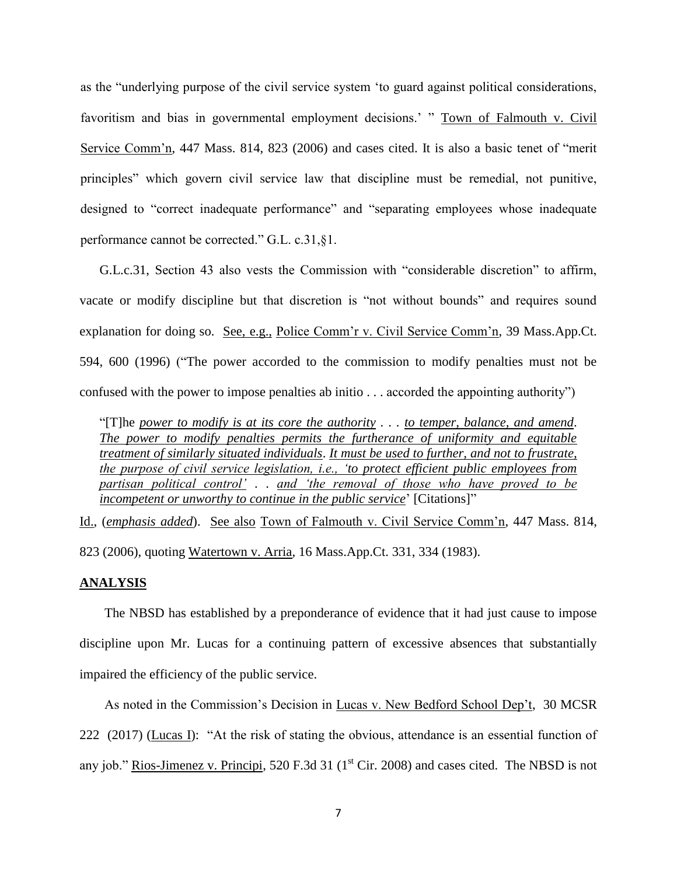as the "underlying purpose of the civil service system 'to guard against political considerations, favoritism and bias in governmental employment decisions.' " Town of Falmouth v. Civil Service Comm'n, 447 Mass. 814, 823 (2006) and cases cited. It is also a basic tenet of "merit principles" which govern civil service law that discipline must be remedial, not punitive, designed to "correct inadequate performance" and "separating employees whose inadequate performance cannot be corrected." G.L. c.31,§1.

G.L.c.31, Section 43 also vests the Commission with "considerable discretion" to affirm, vacate or modify discipline but that discretion is "not without bounds" and requires sound explanation for doing so. See, e.g., Police Comm'r v. Civil Service Comm'n, 39 Mass.App.Ct. 594, 600 (1996) ("The power accorded to the commission to modify penalties must not be confused with the power to impose penalties ab initio . . . accorded the appointing authority")

"[T]he *power to modify is at its core the authority . . . to temper, balance, and amend*. *The power to modify penalties permits the furtherance of uniformity and equitable treatment of similarly situated individuals*. *It must be used to further, and not to frustrate, the purpose of civil service legislation, i.e., 'to protect efficient public employees from partisan political control'* . . *and 'the removal of those who have proved to be incompetent or unworthy to continue in the public service*' [Citations]"

Id., (*emphasis added*). See also Town of Falmouth v. Civil Service Comm'n, 447 Mass. 814, 823 (2006), quoting Watertown v. Arria, 16 Mass.App.Ct. 331, 334 (1983).

## **ANALYSIS**

The NBSD has established by a preponderance of evidence that it had just cause to impose discipline upon Mr. Lucas for a continuing pattern of excessive absences that substantially impaired the efficiency of the public service.

As noted in the Commission's Decision in Lucas v. New Bedford School Dep't, 30 MCSR 222 (2017) (Lucas I): "At the risk of stating the obvious, attendance is an essential function of any job." Rios-Jimenez v. Principi, 520 F.3d 31 ( $1<sup>st</sup> Cir. 2008$ ) and cases cited. The NBSD is not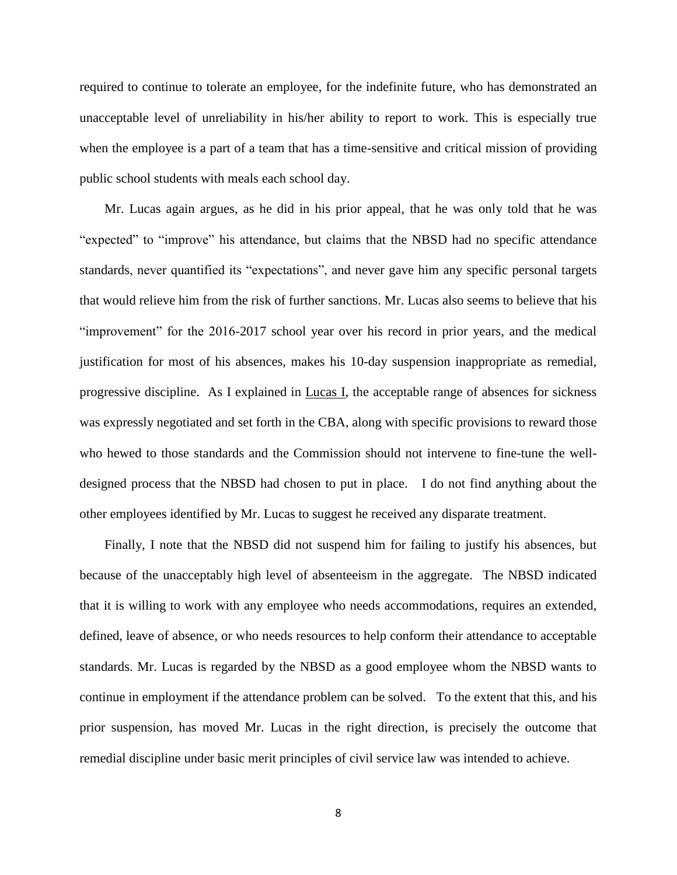required to continue to tolerate an employee, for the indefinite future, who has demonstrated an unacceptable level of unreliability in his/her ability to report to work. This is especially true when the employee is a part of a team that has a time-sensitive and critical mission of providing public school students with meals each school day.

Mr. Lucas again argues, as he did in his prior appeal, that he was only told that he was "expected" to "improve" his attendance, but claims that the NBSD had no specific attendance standards, never quantified its "expectations", and never gave him any specific personal targets that would relieve him from the risk of further sanctions. Mr. Lucas also seems to believe that his "improvement" for the 2016-2017 school year over his record in prior years, and the medical justification for most of his absences, makes his 10-day suspension inappropriate as remedial, progressive discipline. As I explained in Lucas I, the acceptable range of absences for sickness was expressly negotiated and set forth in the CBA, along with specific provisions to reward those who hewed to those standards and the Commission should not intervene to fine-tune the welldesigned process that the NBSD had chosen to put in place. I do not find anything about the other employees identified by Mr. Lucas to suggest he received any disparate treatment.

Finally, I note that the NBSD did not suspend him for failing to justify his absences, but because of the unacceptably high level of absenteeism in the aggregate. The NBSD indicated that it is willing to work with any employee who needs accommodations, requires an extended, defined, leave of absence, or who needs resources to help conform their attendance to acceptable standards. Mr. Lucas is regarded by the NBSD as a good employee whom the NBSD wants to continue in employment if the attendance problem can be solved. To the extent that this, and his prior suspension, has moved Mr. Lucas in the right direction, is precisely the outcome that remedial discipline under basic merit principles of civil service law was intended to achieve.